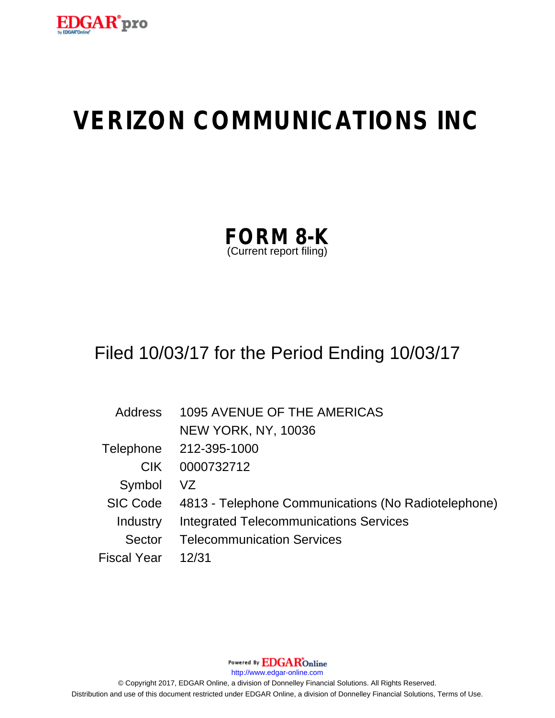

# **VERIZON COMMUNICATIONS INC**

| <b>FORM 8-K</b>         |  |
|-------------------------|--|
| (Current report filing) |  |

# Filed 10/03/17 for the Period Ending 10/03/17

| Address            | <b>1095 AVENUE OF THE AMERICAS</b>                  |
|--------------------|-----------------------------------------------------|
|                    | <b>NEW YORK, NY, 10036</b>                          |
|                    | Telephone 212-395-1000                              |
| CIK.               | 0000732712                                          |
| Symbol             | VZ.                                                 |
| <b>SIC Code</b>    | 4813 - Telephone Communications (No Radiotelephone) |
| Industry           | <b>Integrated Telecommunications Services</b>       |
| Sector             | <b>Telecommunication Services</b>                   |
| <b>Fiscal Year</b> | 12/31                                               |

Powered By EDGAROnline

http://www.edgar-online.com

© Copyright 2017, EDGAR Online, a division of Donnelley Financial Solutions. All Rights Reserved. Distribution and use of this document restricted under EDGAR Online, a division of Donnelley Financial Solutions, Terms of Use.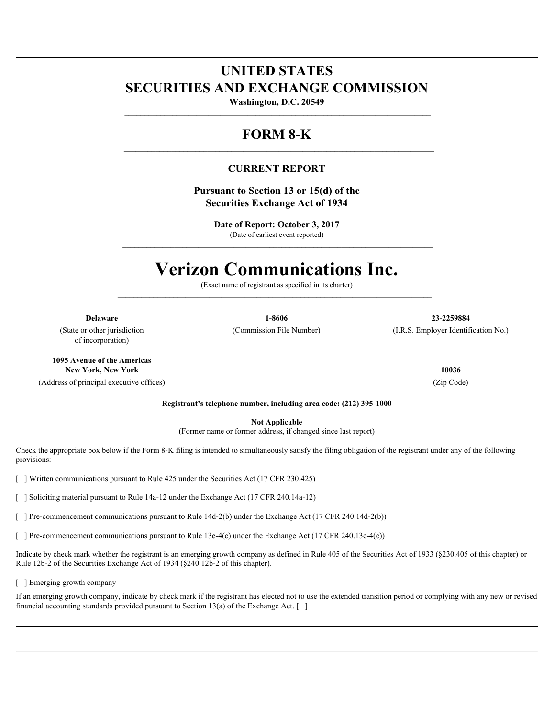### **UNITED STATES SECURITIES AND EXCHANGE COMMISSION**

**Washington, D.C. 20549**

 **\_\_\_\_\_\_\_\_\_\_\_\_\_\_\_\_\_\_\_\_\_\_\_\_\_\_\_\_\_\_\_\_\_\_\_\_\_\_\_\_\_\_\_\_\_\_\_\_\_\_\_\_\_\_\_\_\_\_\_\_\_\_\_\_\_\_\_\_\_\_\_\_\_\_\_\_\_**

**\_\_\_\_\_\_\_\_\_\_\_\_\_\_\_\_\_\_\_\_\_\_\_\_\_\_\_\_\_\_\_\_\_\_\_\_\_\_\_\_\_\_\_\_\_\_\_\_\_\_\_\_\_\_\_\_\_\_\_\_\_\_\_\_\_\_\_\_\_\_\_\_\_\_\_\_\_\_**

 **\_\_\_\_\_\_\_\_\_\_\_\_\_\_\_\_\_\_\_\_\_\_\_\_\_\_\_\_\_\_\_\_\_\_\_\_\_\_\_\_\_\_\_\_\_\_\_\_\_\_\_\_\_\_\_\_\_\_\_\_\_\_\_\_\_\_\_\_\_\_\_\_\_\_\_\_\_\_**

### **FORM 8-K**

#### **CURRENT REPORT**

**Pursuant to Section 13 or 15(d) of the Securities Exchange Act of 1934**

> **Date of Report: October 3, 2017** (Date of earliest event reported)

## **Verizon Communications Inc.**

(Exact name of registrant as specified in its charter)

 **\_\_\_\_\_\_\_\_\_\_\_\_\_\_\_\_\_\_\_\_\_\_\_\_\_\_\_\_\_\_\_\_\_\_\_\_\_\_\_\_\_\_\_\_\_\_\_\_\_\_\_\_\_\_\_\_\_\_\_\_\_\_\_\_\_\_\_\_\_\_\_\_\_\_\_\_\_\_\_ Delaware 1-8606 23-2259884**  $(LR.S.$  Employer Identification No.)

(State or other jurisdiction of incorporation)

**1095 Avenue of the Americas New York, New York 10036**

(Address of principal executive offices) (Zip Code)

**Registrant's telephone number, including area code: (212) 395-1000**

**Not Applicable**

(Former name or former address, if changed since last report)

Check the appropriate box below if the Form 8-K filing is intended to simultaneously satisfy the filing obligation of the registrant under any of the following provisions:

[ ] Written communications pursuant to Rule 425 under the Securities Act (17 CFR 230.425)

[ ] Soliciting material pursuant to Rule 14a-12 under the Exchange Act (17 CFR 240.14a-12)

[ ] Pre-commencement communications pursuant to Rule 14d-2(b) under the Exchange Act (17 CFR 240.14d-2(b))

[ ] Pre-commencement communications pursuant to Rule 13e-4(c) under the Exchange Act (17 CFR 240.13e-4(c))

Indicate by check mark whether the registrant is an emerging growth company as defined in Rule 405 of the Securities Act of 1933 (§230.405 of this chapter) or Rule 12b-2 of the Securities Exchange Act of 1934 (§240.12b-2 of this chapter).

[ ] Emerging growth company

If an emerging growth company, indicate by check mark if the registrant has elected not to use the extended transition period or complying with any new or revised financial accounting standards provided pursuant to Section 13(a) of the Exchange Act.  $\lceil \quad \rceil$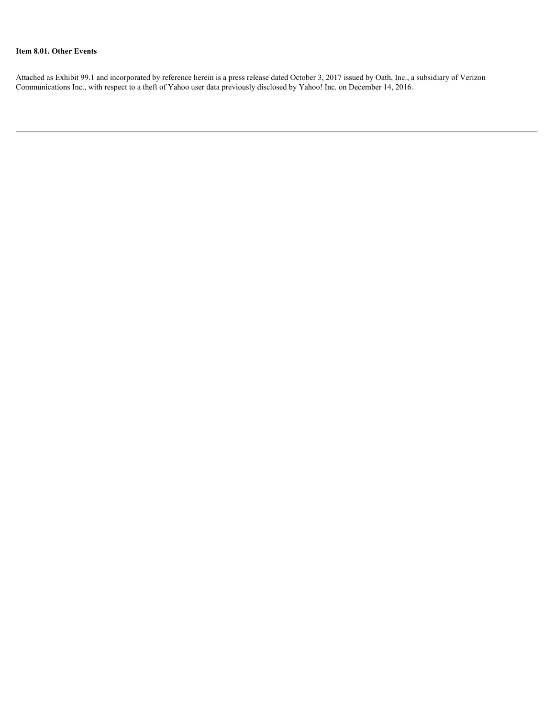#### **Item 8.01. Other Events**

Attached as Exhibit 99.1 and incorporated by reference herein is a press release dated October 3, 2017 issued by Oath, Inc., a subsidiary of Verizon Communications Inc., with respect to a theft of Yahoo user data previously disclosed by Yahoo! Inc. on December 14, 2016.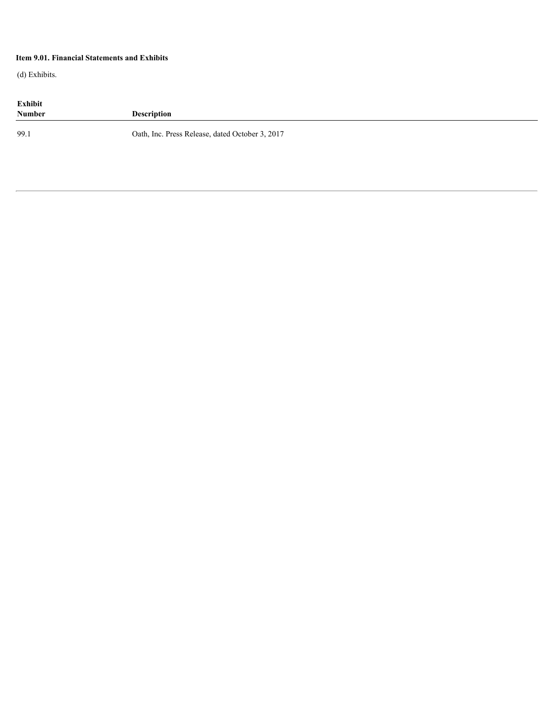#### **Item 9.01. Financial Statements and Exhibits**

(d) Exhibits.

| Exhibit<br><b>Number</b> | <b>Description</b>                              |
|--------------------------|-------------------------------------------------|
| 99.1                     | Oath, Inc. Press Release, dated October 3, 2017 |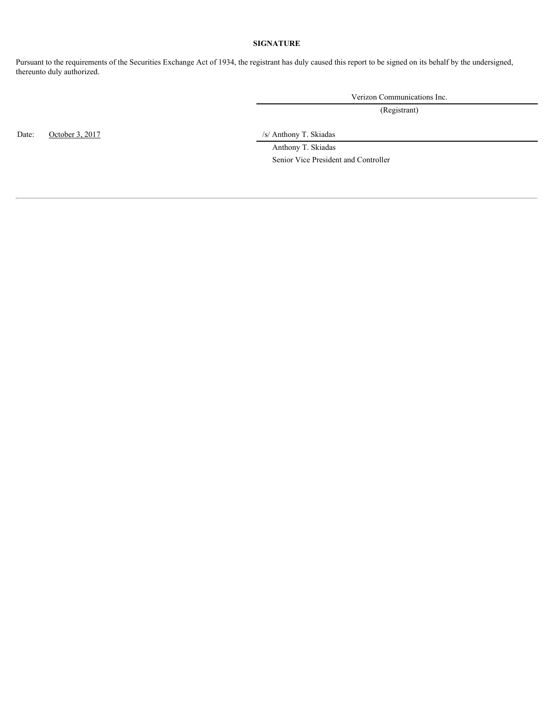#### **SIGNATURE**

Pursuant to the requirements of the Securities Exchange Act of 1934, the registrant has duly caused this report to be signed on its behalf by the undersigned, thereunto duly authorized.

Verizon Communications Inc.

(Registrant)

Date: October 3, 2017 /s/ Anthony T. Skiadas

 Anthony T. Skiadas Senior Vice President and Controller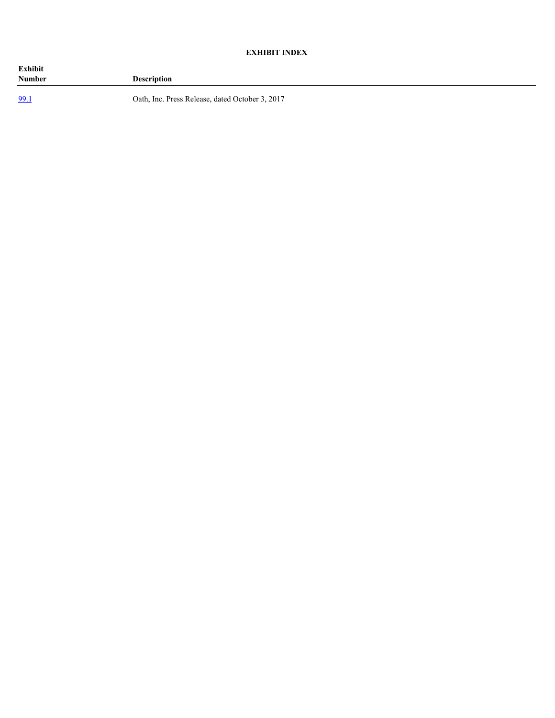#### **EXHIBIT INDEX**

| Exhibit<br><b>Number</b> | <b>Description</b>                              |
|--------------------------|-------------------------------------------------|
| 99.1                     | Oath, Inc. Press Release, dated October 3, 2017 |